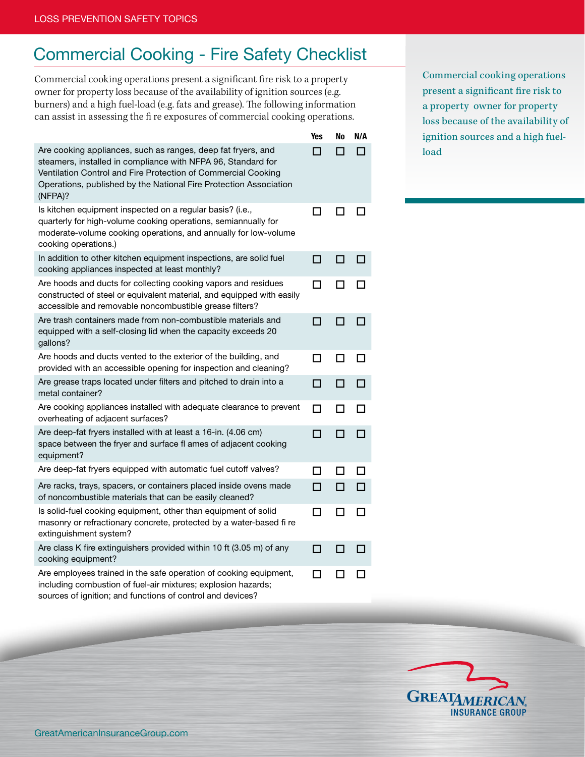## Commercial Cooking - Fire Safety Checklist

Commercial cooking operations present a significant fire risk to a property owner for property loss because of the availability of ignition sources (e.g. burners) and a high fuel-load (e.g. fats and grease). The following information can assist in assessing the fi re exposures of commercial cooking operations.

|                                                                                                                                                                                                                                                                               | Yes          | No           | N/A |
|-------------------------------------------------------------------------------------------------------------------------------------------------------------------------------------------------------------------------------------------------------------------------------|--------------|--------------|-----|
| Are cooking appliances, such as ranges, deep fat fryers, and<br>steamers, installed in compliance with NFPA 96, Standard for<br>Ventilation Control and Fire Protection of Commercial Cooking<br>Operations, published by the National Fire Protection Association<br>(NFPA)? |              |              |     |
| Is kitchen equipment inspected on a regular basis? (i.e.,<br>quarterly for high-volume cooking operations, semiannually for<br>moderate-volume cooking operations, and annually for low-volume<br>cooking operations.)                                                        | $\mathsf{L}$ |              |     |
| In addition to other kitchen equipment inspections, are solid fuel<br>cooking appliances inspected at least monthly?                                                                                                                                                          | П            | П            | П   |
| Are hoods and ducts for collecting cooking vapors and residues<br>constructed of steel or equivalent material, and equipped with easily<br>accessible and removable noncombustible grease filters?                                                                            | П            | П            |     |
| Are trash containers made from non-combustible materials and<br>equipped with a self-closing lid when the capacity exceeds 20<br>gallons?                                                                                                                                     | П            | П            |     |
| Are hoods and ducts vented to the exterior of the building, and<br>provided with an accessible opening for inspection and cleaning?                                                                                                                                           | ΙI           | l l          |     |
| Are grease traps located under filters and pitched to drain into a<br>metal container?                                                                                                                                                                                        | П            | П            |     |
| Are cooking appliances installed with adequate clearance to prevent<br>overheating of adjacent surfaces?                                                                                                                                                                      | П            | П            |     |
| Are deep-fat fryers installed with at least a 16-in. (4.06 cm)<br>space between the fryer and surface fl ames of adjacent cooking<br>equipment?                                                                                                                               | П            |              |     |
| Are deep-fat fryers equipped with automatic fuel cutoff valves?                                                                                                                                                                                                               | П            | $\mathbf{I}$ |     |
| Are racks, trays, spacers, or containers placed inside ovens made<br>of noncombustible materials that can be easily cleaned?                                                                                                                                                  | П            | П            |     |
| Is solid-fuel cooking equipment, other than equipment of solid<br>masonry or refractionary concrete, protected by a water-based fi re<br>extinguishment system?                                                                                                               | П            | П            |     |
| Are class K fire extinguishers provided within 10 ft (3.05 m) of any<br>cooking equipment?                                                                                                                                                                                    | П            | П            |     |
| Are employees trained in the safe operation of cooking equipment,<br>including combustion of fuel-air mixtures; explosion hazards;<br>sources of ignition; and functions of control and devices?                                                                              | П            |              |     |

Commercial cooking operations present a significant fire risk to a property owner for property loss because of the availability of ignition sources and a high fuelload